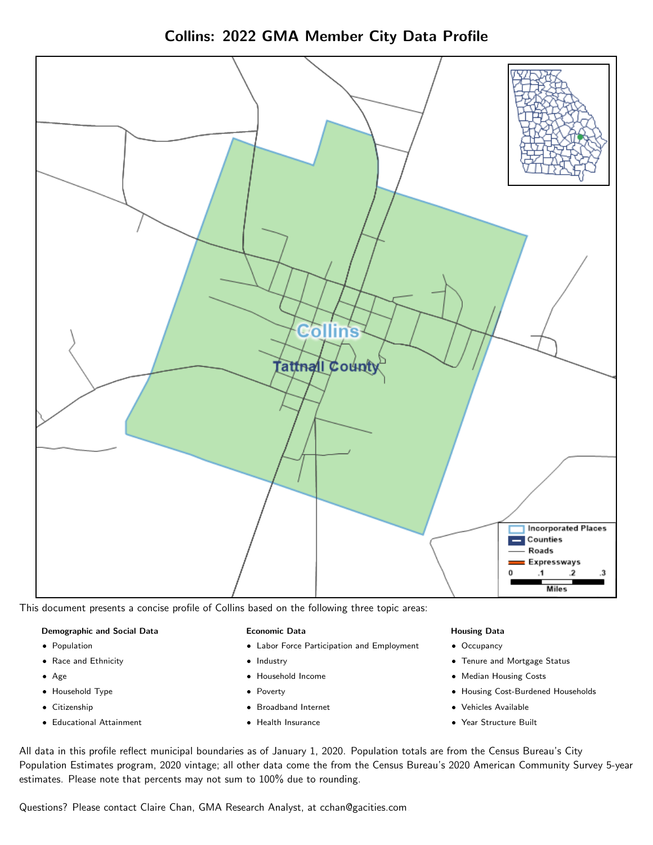

Collins: 2022 GMA Member City Data Profile

This document presents a concise profile of Collins based on the following three topic areas:

### Demographic and Social Data

- **•** Population
- Race and Ethnicity
- Age
- Household Type
- **Citizenship**
- Educational Attainment

#### Economic Data

- Labor Force Participation and Employment
- Industry
- Household Income
- Poverty
- Broadband Internet
- Health Insurance

#### Housing Data

- Occupancy
- Tenure and Mortgage Status
- Median Housing Costs
- Housing Cost-Burdened Households
- Vehicles Available
- Year Structure Built

All data in this profile reflect municipal boundaries as of January 1, 2020. Population totals are from the Census Bureau's City Population Estimates program, 2020 vintage; all other data come the from the Census Bureau's 2020 American Community Survey 5-year estimates. Please note that percents may not sum to 100% due to rounding.

Questions? Please contact Claire Chan, GMA Research Analyst, at [cchan@gacities.com.](mailto:cchan@gacities.com)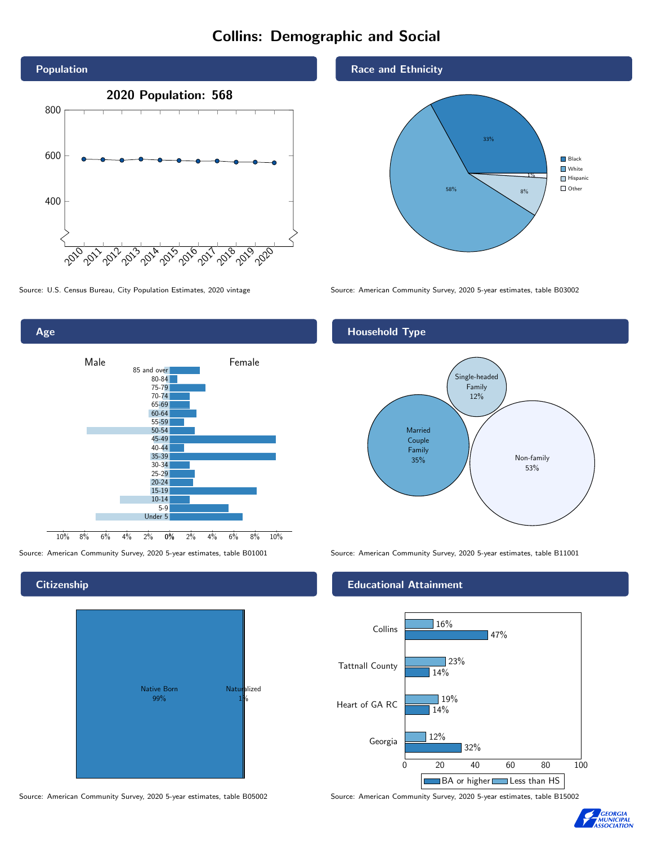# Collins: Demographic and Social





#### **Citizenship**



Source: American Community Survey, 2020 5-year estimates, table B05002 Source: American Community Survey, 2020 5-year estimates, table B15002

#### Race and Ethnicity



Source: U.S. Census Bureau, City Population Estimates, 2020 vintage Source: American Community Survey, 2020 5-year estimates, table B03002

#### Household Type



Source: American Community Survey, 2020 5-year estimates, table B01001 Source: American Community Survey, 2020 5-year estimates, table B11001

#### Educational Attainment



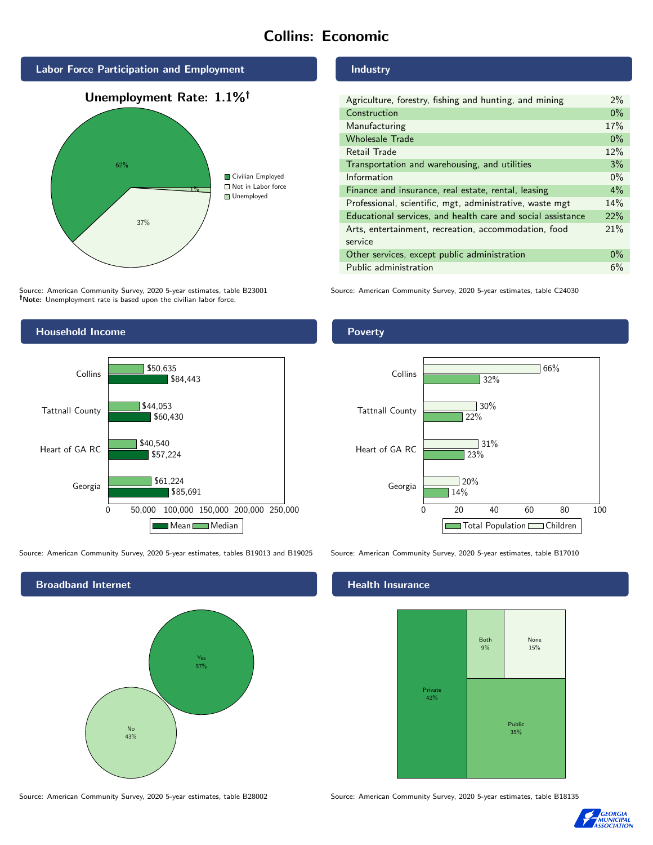# Collins: Economic



Source: American Community Survey, 2020 5-year estimates, table B23001 Note: Unemployment rate is based upon the civilian labor force.

#### Industry

| Agriculture, forestry, fishing and hunting, and mining      | $2\%$ |
|-------------------------------------------------------------|-------|
| Construction                                                | $0\%$ |
| Manufacturing                                               | 17%   |
| <b>Wholesale Trade</b>                                      | $0\%$ |
| Retail Trade                                                | 12%   |
| Transportation and warehousing, and utilities               | 3%    |
| Information                                                 | $0\%$ |
| Finance and insurance, real estate, rental, leasing         | $4\%$ |
| Professional, scientific, mgt, administrative, waste mgt    | 14%   |
| Educational services, and health care and social assistance | 22%   |
| Arts, entertainment, recreation, accommodation, food        | 21%   |
| service                                                     |       |
| Other services, except public administration                | $0\%$ |
| Public administration                                       | 6%    |

Source: American Community Survey, 2020 5-year estimates, table C24030



Source: American Community Survey, 2020 5-year estimates, tables B19013 and B19025 Source: American Community Survey, 2020 5-year estimates, table B17010



Poverty



#### **Health Insurance**



Source: American Community Survey, 2020 5-year estimates, table B28002 Source: American Community Survey, 2020 5-year estimates, table B18135